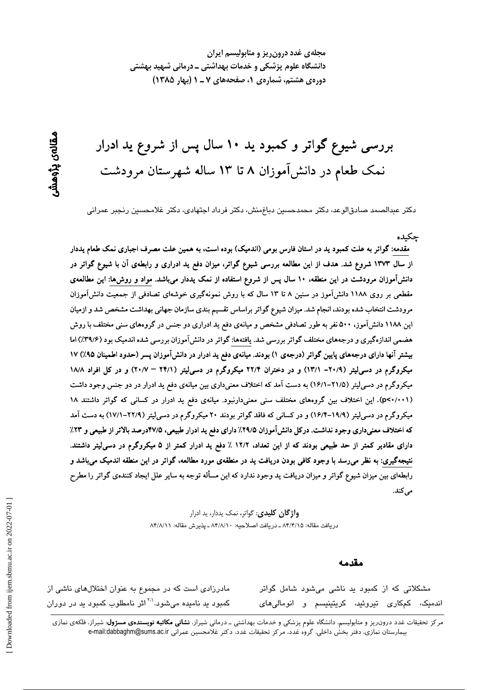مجلهی غدد درون ریز و متابولیسم ایران دانشگاه علوم پزشکی و خدمات بهداشتی ــ درمانی شهید بهشتی دورهی هشتم، شمارهی ۱، صفحههای ۷ ـ ۱ (بهار ۱۳۸۵)

بررسی شیوع گواتر و کمبود ید ۱۰ سال پس از شروع ید ادرار نمک طعام در دانشآموزان ۸ تا ۱۳ ساله شهرستان مرودشت

دکتر عبدالصمد صادقالوعد، دکتر محمدحسین دباغِمنش، دکتر فرداد اجتهادی، دکتر غلامحسین رنجبر عمرانی

### جكيده

مقدمه: گواتر به علت کمبود ید در استان فارس بومی (اندمیک) بوده است، به همین علت مصرف اجباری نمک طعام یددار از سال ۱۳۷۳ شروع شد. هدف از این مطالعه بررسی شیوع گواتر، میزان دفع ید ادراری و رابطهی آن با شیوع گواتر در دانشآموزان مرودشت در این منطقه، ۱۰ سال پس از شروع استفاده از نمک یددار میباشد. مواد و روشها: این مطالعهی مقطعی بر روی ۱۱۸۸ دانشآموز در سنین ۸ تا ۱۳ سال که با روش نمونهگیری خوشهای تصادفی از جمعیت دانشآموزان مرودشت انتخاب شده بودند، انجام شد. میزان شیوع گواتر براساس تقسیم بندی سازمان جهانی بهداشت مشخص شد و ازمیان این ۱۱۸۸ دانشآموز، ۵۰۰ نفر به طور تصادفی مشخص و میانهی دفع ید ادراری دو جنس در گروههای سنی مختلف با روش هضمی اندازهگیری و درجههای مختلف گواتر بررسی شد. یافتهها: گواتر در دانشآموزان بررسی شده اندمیک بود (۳۹/۶٪) اما بیشتر آنها دارای درجههای پایین گواتر (درجهی ۱) بودند. میانهی دفع ید ادرار در دانشآموزان پسر (حدود اطمینان ۹۵٪) ۱۷ میکروگرم در دسی[یتر (۲۰/۹– ۱۳/۱) و در دختران ۲۲/۴ میکروگرم در دسی[یتر (۲۴/۱ – ۲۰/۷) و در کل افراد ۱۸/۸ میکروگرم در دسی[یتر (۲۱/۵–۱۶/۱) به دست آمد که اختلاف معنیداری بین میانهی دفع ید ادرار در دو جنس وجود داشت (p<۰/۰۰۱). این اختلاف بین گروههای مختلف سنی معنیدارنبود. میانهی دفع ید ادرار در کسانی که گواتر داشتند ۱۸ میکروگرم در دسی[یتر (۱۹/۹–۱۶/۴) و در کسانی که فاقد گواتر بودند ۲۰ میکروگرم در دسی[یتر (۲۲/۹–۱۷/۱) به دست آمد که اختلاف معنیداری وجود نداشت. درکل دانش آموزان ۲۹/۵٪ دارای دفع ید ادرار طبیعی، ۴۷/۵درصد بالاتر از طبیعی و ۲۳٪ دارای مقادیر کمتر از حد طبیعی بودند که از این تعداد، ۱۲/۲ ٪ دفع ید ادرار کمتر از ۵ میکروگرم در دسی[یتر داشتند. نتیجهگیری: به نظر میرسد با وجود کافی بودن دریافت ید در منطقهی مورد مطالعه، گواتر در این منطقه اندمیک میباشد و رابطهای بین میزان شیوع گواتر و میزان دریافت ید وجود ندارد که این مسأله توجه به سایر علل ایجاد کنندهی گواتر را مطرح می کند.

> **واژگان کلیدی**: گواتر، نمک یددار، ید ادرار دريافت مقاله: ٨۴/۴/١۵ ـ دريافت اصلاحيه: ٨۴/٨/١٠ ـ پذيرش مقاله: ٨۴/٨/١١

#### مقدمه

مادرزادی است که در مجموع به عنوان اختلالهای ناشی از کمبود ید نامیده میشود.<sup>۲۰</sup>۰ اثر نامطلوب کمبود ید در دوران مشکلاتی که از کمبود ید ناشی میشود شامل گواتر اندمیک، کمکاری تیروئید، کریتینیسم و انومالی۱مای

مرکز تحقیقات غدد درون٫یز و متابولیسم، دانشگاه علوم پزشکی و خدمات بهداشتی ــ درمانی شیراز، **نشانی مکاتبه نویسندهی مسژول**: شیراز، فلکهی نمازی بيمارستان نمازي، دفتر بخش داخلي، گروه غدد، مركز تحقيقات غدد، دكتر غلامحسين عمراني e-mail:dabbaghm@sums.ac.ir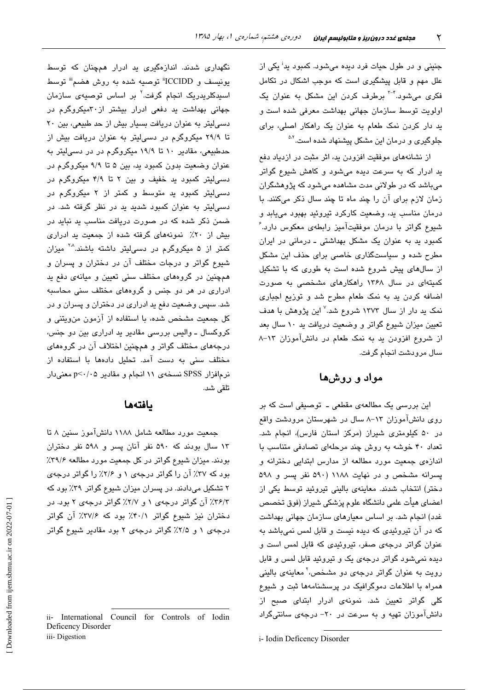جنینی و در طول حیات فرد دیده میشود. کمبود ید<sup>ا</sup> یکی از علل مهم و قابل پیشگیری است که موجب اشکال در تکامل فکری می شود.<sup>۴-۳</sup> برطرف کردن این مشکل به عنوان یک اولویت توسط سازمان جهانی بهداشت معرفی شده است و ید دار کردن نمک طعام به عنوان یک راهکار اصلی، برای جلوگیری و درمان این مشکل پیشنهاد شده است.<sup>۵،۲</sup>

از نشانههای موفقیت افزودن ید، اثر مثبت در ازدیاد دفع ید ادرار که به سرعت دیده میشود و کاهش شیوع گواتر میباشد که در طولانی مدت مشاهده میشود که پژوهشگران زمان لازم برای آن را چند ماه تا چند سال ذکر میکنند. با درمان مناسب ید، وضعیت کارکرد تیروئید بهبود مییابد و شیوع گواتر با درمان موفقیتآمیز رابطهی معکوس دارد. ُ کمبود پد به عنوان یک مشکل بهداشتی ـ درمانی در ایران مطرح شده و سیاستگذاری خاصی برای حذف این مشکل از سالهای پیش شروع شده است به طوری که با تشکیل کمیتهای در سال ۱۳۶۸ راهکارهای مشخصی به صورت اضافه کردن ید به نمک طعام مطرح شد و توزیع اجباری نمک ید دار از سال ۱۳۷۳ شروع شد.<sup>۷</sup> این پژوهش با هدف تعیین میزان شیوع گواتر و وضعیت دریافت ید ۱۰ سال بعد از شروع افزودن بد به نمک طعام در دانشآموزان ۱۳-۸ سال مرودشت انجام گرفت.

# مواد و روشها

این بررسی یک مطالعهی مقطعی ـ توصیفی است که بر روی دانشآموزان ۱۳-۸ سال در شهرستان مرودشت واقع در ۵۰ کیلومتری شیراز (مرکز استان فارس)، انجام شد. تعداد ۴۰ خوشه به روش چند مرحلهای تصادفی متناسب با اندازهی جمعیت مورد مطالعه از مدارس ابتدایی دخترانه و پسرانه مشخص و در نهایت ۱۱۸۸ (۵۹۰ نفر پسر و ۵۹۸ دختر) انتخاب شدند. معاینهی بالینی تیروئید توسط یکی از اعضای هیأت علمی دانشگاه علوم پزشکی شیراز (فوق تخصص غدد) انجام شد. بر اساس معیارهای سازمان جهانی بهداشت که در آن تیروئیدی که دیده نیست و قابل لمس نمیباشد به عنوان گواتر درجهی صفر، تیروئیدی که قابل لمس است و دیده نمیشود گواتر درجهی یک و تیروئید قابل لمس و قابل رویت به عنوان گواتر درجهی دو مشخص،<sup>۲</sup> معاینهی بالینی همراه با اطلاعات دموگرافیک در پرسشنامهها ثبت و شیوع کلی گواتر تعیین شد. نمونه*ی* ادرار ابتدای صبح از دانش آموزان تهیه و به سرعت در ۲۰- درجهی سانتیگراد

i- Iodin Deficency Disorder

نگهداری شدند. اندازهگیری ید ادرار همچنان که توسط يونيسف و ICCIDD" توصيه شده به روش هضم" توسط اسپدکلریدریک انجام گرفت<sup>.۲</sup> بر اساس توصیه*ی* سازمان جهانی بهداشت ید دفعی ادرار بیشتر از ۳۰میکروگرم در دسی لیتر به عنوان دریافت بسیار بیش از حد طبیعی، بین ۲۰ تا ۲۹/۹ میکروگرم در دسیلیتر به عنوان دریافت بیش از حدطبیعی، مقادیر ۱۰ تا ۱۹/۹ میکروگرم در در دسیلیتر به عنوان وضعیت بدون کمبود ید، بین ۵ تا ۹/۹ میکروگرم در دسی لیتر کمبود ید خفیف و بین ۲ تا ۴/۹ میکروگرم در دسی!پتر کمبود پد متوسط و کمتر از ۲ میکروگرم در دسی لیتر به عنوان کمبود شدید ید در نظر گرفته شد. در ضمن ذکر شده که در صورت دریافت مناسب ید نباید در بیش از ٢٠٪ نمونههای گرفته شده از جمعیت ید ادراری کمتر از ۵ میکروگرم در دسی!یتر داشته باشند.<sup>۲۸</sup> میزان شیوع گواتر و درجات مختلف آن در دختران و پسران و همچنین در گروههای مختلف سنی تعیین و میانهی دفع ید ادراری در هر دو جنس و گروههای مختلف سنی محاسبه شد. سپس وضعیت دفع پد ادراری در دختران و پسران و در كل جمعيت مشخص شده، با استفاده از آزمون من ويتني و کروکسال ــ والیس بررسی مقادیر ید ادراری بین دو جنس، درجههای مختلف گواتر و همچنین اختلاف آن در گروههای مختلف سنی به دست آمد. تحلیل دادهها با استفاده از نرمافزار SPSS نسخهی ۱۱ انجام و مقادیر p<۰/۰۵ معنیدار تلقى شد.

## بافتهها

جمعیت مورد مطالعه شامل ۱۱۸۸ دانشآموز سنین ۸ تا ۱۳ سال بودند که ۵۹۰ نفر آنان پسر و ۵۹۸ نفر دختران بودند. میزان شیوع گواتر در کل جمعیت مورد مطالعه ۳۹/۶٪ بود که ۳۷٪ آن را گواتر درجهی ۱ و ۲/۶٪ را گواتر درجهی ۲ تشکیل میدادند. در پسران میزان شیوع گواتر ۳۹٪ بود که ۳۶/۳٪ آن گواتر درجهی ۱ و ۲/۷٪ گواتر درجهی ۲ بود. در دختران نیز شیوع گواتر ۴۰/۱٪ بود که ۳۷/۶٪ آن گواتر درجهی ۱ و ۲/۵٪ گواتر درجهی ۲ بود مقادیر شیوع گواتر

ii- International Council for Controls of Iodin Deficency Disorder iii-Digestion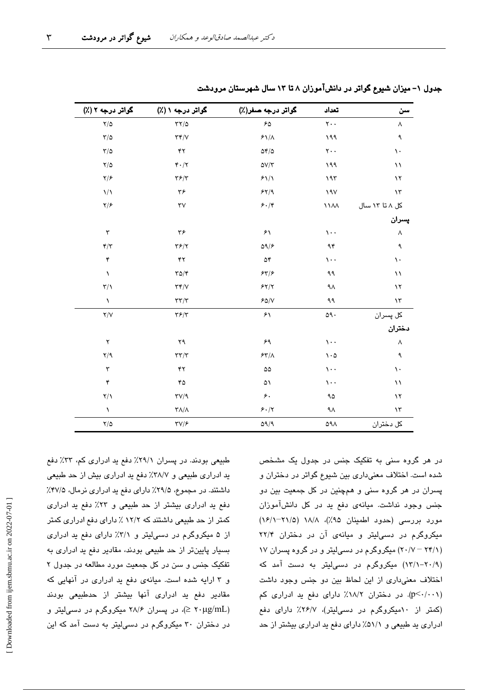| سن             | تعداد                           | گواتر درجه صفر(٪)               | گواتر درجه ۱ (٪)                            | گواتر درجه ۲ (٪)                   |
|----------------|---------------------------------|---------------------------------|---------------------------------------------|------------------------------------|
| ٨              | $\mathbf{y}$ .                  | 50                              | $\tau\tau/\Delta$                           | $Y/\Delta$                         |
| ٩              | 199                             | $\mathcal{F}\backslash/\Lambda$ | $\tau\tau/\nu$                              | $\tau/\vartriangle$                |
| $\mathcal{N}$  | $\mathsf{Y}\cdot\cdot$          | $\Delta \mathfrak{r}/\Delta$    | $\mathbf{y}$                                | $\tau/\Delta$                      |
| $\setminus$    | ۱۹۹                             | $\Delta V/\Upsilon$             | $\mathfrak{r} \cdot / \mathfrak{r}$         | $Y/\Delta$                         |
| $\lambda$      | 195                             | 51/1                            | $\mathbf{Y} \mathbf{F} / \mathbf{Y}$        | $\frac{1}{2}$                      |
| $\lambda \tau$ | 19V                             | 54/9                            | ٣۶                                          | $\frac{1}{2}$                      |
| کل ۸ تا ۱۳ سال | $\lambda\lambda\lambda$         | $\mathfrak{F}\cdot\mathfrak{f}$ | $\tau v$                                    | $\frac{1}{2}$                      |
| پسران          |                                 |                                 |                                             |                                    |
| ٨              | $\mathcal{N}$ .                 | $\mathcal{F}\setminus$          | ۳۶                                          | $\mathbf{\breve{v}}$               |
| ٩              | ۹۴                              | $\Delta$ 9/۶                    | $\mathbf{Y}$ $\mathbf{Y}$                   | $\mathbf{r}/\mathbf{r}$            |
| $\mathcal{L}$  | $\cdots$                        | $\Delta f$                      | ۴۲                                          | ۴                                  |
| $\lambda$      | ۹۹                              | 55/5                            | $\Gamma \Delta / \Upsilon$                  | $\lambda$                          |
| $\lambda$      | ۹۸                              | 55/7                            | $\tau\tau/\nu$                              | $\mathbf{r}/\mathbf{v}$            |
| $\mathcal{N}$  | ۹۹                              | 50/V                            | $\tau\tau/\tau$                             | $\lambda$                          |
| کل پسران       | $\mathsf{Q} \mathsf{Q} \cdot$   | ۶١                              | $\mathbf{Y}\mathbf{\mathcal{F}}/\mathbf{Y}$ | Y/Y                                |
| دختران         |                                 |                                 |                                             |                                    |
| ٨              | $\mathcal{N}$ .                 | ۶۹                              | ۲۹                                          | $\mathsf{r}$                       |
| ٩              | $\mathcal{L} \cdot \mathcal{L}$ | 54/1                            | $\tau\tau/\tau$                             | $Y$ <sup><math>\gamma</math></sup> |
| $\mathcal{L}$  | $\cdots$                        | $\Delta\Delta$                  | ۴۲                                          | $\mathbf{\breve{v}}$               |
| $\setminus$    | $\cdots$                        | ۵١                              | ۴۵                                          | $\mathbf{\check{r}}$               |
| $\lambda$      | ۹۵                              | $\epsilon$                      | TV/9                                        | $\mathsf{Y}/\mathsf{Y}$            |
| ۱۳             | ٩Λ                              | 5.17                            | $\tau\Lambda/\Lambda$                       | $\lambda$                          |
| کل دختران      | ۵۹۸                             | QQ/9                            | $\tau v / \epsilon$                         | $\frac{1}{2}$                      |

جدول ۱– میزان شیوع گواتر در دانشآموزان ۸ تا ۱۳ سال شهرستان مرودشت

در هر گروه سنی به تفکیک جنس در جدول یک مشخص شده است. اختلاف معنی داری بین شیوع گواتر در دختران و پسران در هر گروه سنی و همچنین در کل جمعیت بین دو جنس وجود نداشت. میانهی دفع ید در کل دانشآموزان مورد بررسی (حدود اطمینان ۹۵٪)، ۱۸/۸ (۲۱/۵–۱۶/۱) میکروگرم در دسی لیتر و میانهی آن در دختران ۲۲/۴ (۲۰/۷ - ۲۰/۷) میگروگرم در دسهالیتر و در گروه پسران ۱۷ (۲۰/۹–۱۳/۱) میکروگرم در دسی!یتر به دست آمد که اختلاف معنی داری از این لحاظ بین دو جنس وجود داشت (p<٠/٠٠١). در دختران ١٨/٢٪ دارای دفع پد ادراری کم (کمتر از ۱۰میکروگرم در دسیلیتر)، ۲۶/۷٪ دارای دفع ادراری ید طبیعی و ۵۱/۱٪ دارای دفع ید ادراری بیشتر از حد

طبیعی بودند. در پسران ۲۹/۱٪ دفع ید ادراری کم، ۳۳٪ دفع ید ادراری طبیعی و ۳۸/۷٪ دفع ید ادراری بیش از حد طبیعی داشتند. در مجموع، ۲۹/۵٪ دارای دفع ید ادراری نرمال، ۴۷/۵٪ دفع ید ادراری بیشتر از حد طبیعی و ۲۳٪ دفع ید ادراری کمتر از حد طبیعی داشتند که ۱۲/۲ ٪ دارای دفع ادراری کمتر از ۵ میکروگرم در دسهایتر و ۳/۱٪ دارای دفع ید ادراری بسیار پایینتر از حد طبیعی بودند، مقادیر دفع ید ادراری به تفکیک جنس و سن در کل جمعیت مورد مطالعه در جدول ۲ و ۳ ارایه شده است. میانهی دفع ید ادراری در آنهایی که مقادیر دفع ید ادراری آنها بیشتر از حدطبیعی بودند (۲۰μg/mL ≤)، در پسران ۲۸/۶ میکروگرم در دسی لیتر و در دختران ۳۰ میکروگرم در دسهالیتر به دست آمد که این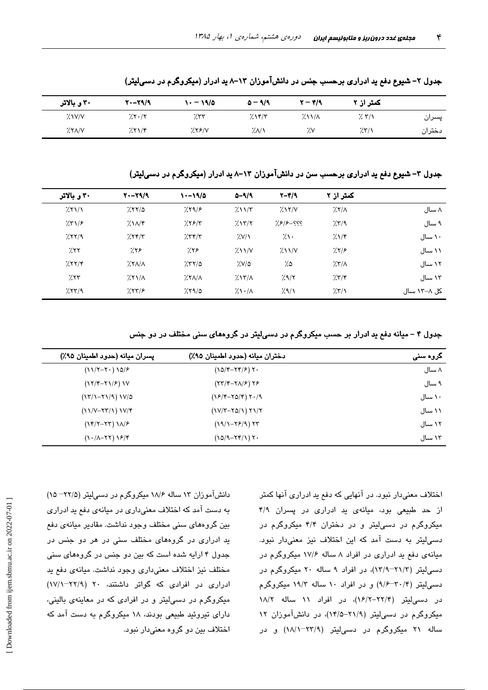|        | کمتر از ۲ | $\mathbf{Y}-\mathbf{Y}/\mathbf{Y}$ | $\Delta - 9/9$ | ۱۰ – ۱۹/۵ | $Y - Y = 19$ | ۳۰ و بالاتر |
|--------|-----------|------------------------------------|----------------|-----------|--------------|-------------|
| پسران  | 7.7/1     | $\frac{1}{2}$ $\frac{1}{4}$        | $7.1$ ۴/۳      | 7.57      | 7.5.7        | $X'$ $V/Y$  |
| دختران | 7.5/1     | ٧.٧                                | 7.1            | 7.59/     | 7.71/5       | XXAY        |

جدول ۲- شیوع دفع ید ادراری برحسب جنس در دانشآموزان ۱۳-۸ ید ادرار (میکروگرم در دسی لیتر)

جدول ۳– شیوع دفع ید ادراری برحسب سن در دانشآموزان ۱۳–۸ ید ادرار (میکروگرم در دسیلیتر)

| ۳۰ و بالاتر | $Y - Y = 19$ | $\frac{1}{2}$ | $0 - 9/9$                          | $Y-Y/9$                            | کمتر از ۲                   |             |
|-------------|--------------|---------------|------------------------------------|------------------------------------|-----------------------------|-------------|
| 7.51/1      | 7.88/2       | 7.59/8        | $2\lambda\sqrt{r}$                 | 7.15/N                             | $7.7/\lambda$               | ۸ سال       |
| 751/5       | $2\lambda x$ | 7.55/5        | 7.17/7                             | ??? – ??                           | 7.579                       | ۹ سال       |
| 7.77/9      | 7.78/7       | 7.777         | X'/Y                               | $\gamma$                           | 7.17                        | ۱۰ سال      |
| 7.77        | 7.78         | 7.78          | $\frac{1}{2}$ $\frac{1}{\sqrt{2}}$ | $\frac{1}{2}$ $\frac{1}{\sqrt{2}}$ | 7.7/8                       | ۱۱ سال      |
| 7.777       | $XX/\Lambda$ | 7.77/a        | ۵/۷٪                               | ۵٪                                 | $\frac{1}{2}$ $\frac{1}{2}$ | ۱۲ سال      |
| 7.57        | X            | $\frac{1}{2}$ | $7.17/\lambda$                     | 7.9/7                              | 7.77                        | ۱۳ سال      |
| 757/9       | 757/8        | 7.79/0        | $\lambda \cdot / \lambda$          | 7.9/1                              | 7.5/1                       | کل ۸–۱۳ سال |

جدول ۴ – میانه دفع ید ادرار بر حسب میکروگرم در دسیلیتر در گروههای سنی مختلف در دو جنس

| پسران ميانه (حدود اطمينان ۹۵٪)                                 | دختران ميانه (حدود اطمينان ۹۵٪) | کروہ سنی |
|----------------------------------------------------------------|---------------------------------|----------|
| $(117 - 7) 107$                                                | $(10/F-YF/F)Y.$                 | ۸ سال    |
| $(YY Y-YY/\epsilon)$                                           | $(YY Y-Y\Lambda/F)YF$           | ۹ سال    |
| $(17/1 - 71/9) 1V/0$                                           | $(YF/F-YQ/F)Y\cdot$             | ۱۰ سال   |
| $(11/V - YY/1)1V/F$                                            | $(1V/T - YQ/1) Y1/Y$            | ۱۱ سال   |
| $(YYY-YY)YY$                                                   | $(19/1 - Y9/9) YY$              | ۱۲ سال   |
| $(\lambda \cdot (\lambda - \lambda \lambda) \lambda \epsilon)$ | $(10/9 - Yf/1)Y.$               | ۱۳ سال   |

اختلاف معنیدار نبود. در آنهایی که دفع ید ادراری آنها کمتر از حد طبیعی بود، میانهی ید ادراری در پسران ۴/۹ میکروگرم در دسی لیتر و در دختران ۴/۴ میکروگرم در دسی لیتر به دست آمد که این اختلاف نیز معنیدار نبود. میانهی دفع ید ادراری در افراد ۸ ساله ۱۷/۶ میکروگرم در دسهایتر (۲۱/۳–۱۳/۹)، در افراد ۹ ساله ۲۰ میکروگرم در دسهایتر (۳۰/۴–۹/۶) و در افراد ۱۰ ساله ۱۹/۳ میکروگرم در دسهالیتر (۲۲/۴–۱۶/۲)، در افراد ۱۱ ساله ۱۸/۲ میکروگرم در دسهالیتر (۲۱/۹-۱۴/۵)، در دانشآموزان ۱۲ ساله ۲۱ میکروگرم در دسی!یتر (۲۳/۹–۱۸/۱) و در

دانشآموزان ۱۳ ساله ۱۸/۶ میکروگرم در دسمیلیتر (۲۲/۵– ۱۵) به دست آمد که اختلاف معنیداری در میانهی دفع پد ادراری بین گروههای سنی مختلف وجود نداشت. مقادیر میانهی دفع ید ادراری در گروههای مختلف سنی در هر دو جنس در جدول ۴ ارایه شده است که بین دو جنس در گروههای سنی مختلف نیز اختلاف معنی داری وجود نداشت. میانهی دفع ید ادراری در افرادی که گواتر داشتند، ۲۰ (۲۲/۹–۱۷/۱) میکروگرم در دستیلیتر و در افرادی که در معاینهی بالینی، دارای تیروئید طبیعی بودند، ۱۸ میکروگرم به دست آمد که اختلاف بين دو گروه معنىدار نبود.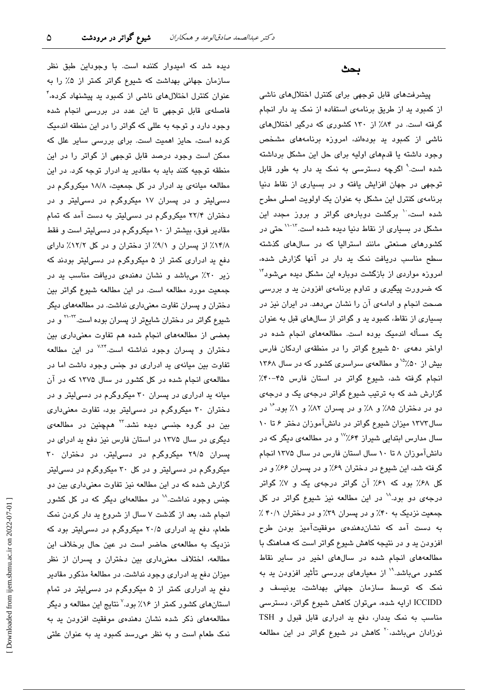دیده شد که امیدوار کننده است. با وجوداین طبق نظر سازمان جهانی بهداشت که شیوع گواتر کمتر از ۵٪ را به عنوان کنترل اختلالهای ناشی از کمبود ید پیشنهاد کرده، ٔ فاصلهی قابل توجهی تا این عدد در بررسی انجام شده وجود دارد و توجه به عللی که گواتر را در این منطقه اندمیک کرده است، حایز اهمیت است. برای بررسی سایر علل که ممکن است وجود درصد قابل توجهی از گواتر را در این منطقه توجیه کنند باید به مقادیر ید ادرار توجه کرد. در این مطالعه میانهی ید ادرار در کل جمعیت، ۱۸/۸ میکروگرم در دسی!یتر و در پسران ۱۷ میکروگرم در دسی!یتر و در دختران ۲۲/۴ میکروگرم در دسی لیتر به دست آمد که تمام مقادیر فوق، بیشتر از ۱۰ میکروگرم در دسی[لیتر است و فقط ١۴/٨٪ از پسران و ٩/١٪ از دختران و در كل ١٢/٢٪ داراى دفع ید ادراری کمتر از ۵ میکروگرم در دسهالیتر بودند که زیر ۲۰٪ میباشد و نشان دهندهی دریافت مناسب ید در جمعیت مورد مطالعه است. در این مطالعه شیوع گواتر بین دختران و پسران تفاوت معنیداری نداشت. در مطالعههای دیگر شیوع گواتر در دختران شایعتر از پسران بوده است.<sup>۲۲</sup>-<sup>۲۰</sup> و در بعضی از مطالعههای انجام شده هم تفاوت معنیداری بین دختران و پسران وجود نداشته است.<sup>۷٬۲۴</sup> در این مطالعه تفاوت بين ميانهي يد ادراري دو جنس وجود داشت اما در مطالعهی انجام شده در کل کشور در سال ۱۳۷۵ که در آن میانه ید ادراری در پسران ۳۰ میکروگرم در دسهالیتر و در دختران ۳۰ میکروگرم در دسیلیتر بود، تفاوت معنیداری بین دو گروه جنسی دیده نشد.<sup>۲۲</sup> همچنین در مطالعه*ی* دیگری در سال ۱۳۷۵ در استان فارس نیز دفع ید ادرای در پسران ۲۹/۵ میکروگرم در دسهایتر، در دختران ۳۰ میکروگرم در دسهایتر و در کل ۳۰ میکروگرم در دسهالیتر گزارش شده که در این مطالعه نیز تفاوت معنیداری بین دو جنس وجود نداشت.<sup>۱۸</sup> در مطالعهای دیگر که در کل کشور انجام شد، بعد از گذشت ۷ سال از شروع ید دار کردن نمک طعام، دفع ید ادراری ۲۰/۵ میکروگرم در دسهایتر بود که نزدیک به مطالعهی حاضر است در عین حال برخلاف این مطالعه، اختلاف معنیداری بین دختران و پسران از نظر میزان دفع ید ادراری وجود نداشت. در مطالعهٔ مذکور مقادیر دفع ید ادراری کمتر از ۵ میکروگرم در دسمیلیتر در تمام استانهای کشور کمتر از ۱۶٪ بود.<sup>۷</sup> نتایج این مطالعه و دیگر مطالعههای ذکر شده نشان دهندهی موفقیت افزودن ید به نمک طعام است و به نظر میرسد کمبود ید به عنوان علتی

## بحث

پیشرفتهای قابل توجهی برای کنترل اختلالهای ناشی از کمبود ید از طریق برنامهی استفاده از نمک ید دار انجام گرفته است. در ۸۴٪ از ۱۳۰ کشوری که درگیر اختلالهای ناشی از کمبود ید بودهاند، امروزه برنامههای مشخص وجود داشته یا قدمهای اولیه برای حل این مشکل برداشته شده است.<sup>۹</sup> اگرچه دسترسی به نمک ید دار به طور قابل توجهی در جهان افزایش یافته و در بسیاری از نقاط دنیا برنامهی کنترل این مشکل به عنوان یک اولویت اصلی مطرح شده است، ٔ برگشت دوبارهی گواتر و بروز مجدد این مشکل در بسیاری از نقاط دنیا دیده شده است.<sup>۱۳-۱۲</sup> حتی در کشورهای صنعتی مانند استرالیا که در سالهای گذشته سطح مناسب دریافت نمک ید دار در آنها گزارش شده، امروزه مواردی از بازگشت دوباره این مشکل دیده میشود" که ضرورت پیگیری و تداوم برنامهی افزودن ید و بررسی صحت انجام و ادامهی آن را نشان میدهد. در ایران نیز در بسیاری از نقاط، کمبود ید و گواتر از سالهای قبل به عنوان یک مسأله اندمیک بوده است. مطالعههای انجام شده در اواخر دههی ۵۰ شیوع گواتر را در منطقهی اردکان فارس بیش از ۵۰٪<sup>۱۵</sup> و مطالعهی سراسری کشور که در سال ۱۳۶۸ انجام گرفته شد، شیوع گواتر در استان فارس ۴۵-۴۰٪ گزارش شد که به ترتیب شیوع گواتر درجهی یک و درجهی دو در دختران ۸۵٪ و ۸٪ و در پسران ۸۲٪ و ۱٪ بود. ۲ در سال ۱۳۷۳ میزان شیوع گواتر در دانش آموزان دختر ۶ تا ۱۰ سال مدارس ابتدایی شیراز ۶۴٪<sup>۷۷</sup> و در مطالعهی دیگر که در دانشآموزان ۸ تا ۱۰ سال استان فارس در سال ۱۳۷۵ انجام گرفته شد، این شیوع در دختران ۶۹٪ و در پسران ۶۶٪ و در کل ۶۸٪ بود که ۶۱٪ آن گواتر درجهی یک و ۷٪ گواتر درجهی دو بود.<sup>۱۸</sup> در این مطالعه نیز شیوع گواتر در کل جمعیت نزدیک به ۴۰٪ و در پسران ۳۹٪ و در دختران ۴۰/۱٪ به دست آمد که نشاندهندهی موفقیتآمیز بودن طرح افزودن پد و در نتیجه کاهش شیوع گواتر است که هماهنگ با مطالعههای انجام شده در سالهای اخیر در سایر نقاط کشور میباشد.<sup>۱۹</sup> از معیارهای بررسی تأثیر افزودن ید به .<br>نمک که توسط سازمان جهانی بهداشت، یونیسف و ICCIDD ارایه شده، میتوان کاهش شیوع گواتر، دسترسی مناسب به نمک پددار، دفع يد ادرارى قابل قبول و TSH نوزادان میباشد،<sup>۲۰</sup> کاهش در شیوع گواتر در این مطالعه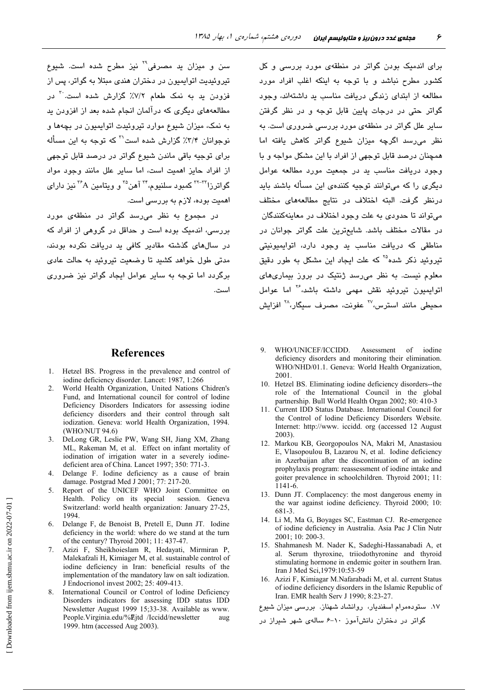سن و میزان ید مصرفی<sup>۲۹</sup> نیز مطرح شده است. شیوع تیروئیدیت اتوایمیون در دختران هندی مبتلا به گواتر، پس از فزودن ید به نمک طعام ۷/۲٪ گزارش شده است.<sup>۳۰</sup> در مطالعههای دیگری که درآلمان انجام شده بعد از افزودن بد به نمک، میزان شیوع موارد تیروئیدت اتوابمیون در بچهها و نوجوانان ۳/۴٪ گزارش شده است<sup>71</sup> که توجه به این مسأله برای توجیه باقی ماندن شیوع گواتر در درصد قابل توجهی از افراد حایز اهمیت است، اما سایر علل مانند وجود مواد گواترزا<sup>۳۲-۲۲</sup> کمبود سلنیوم،<sup>۳۴</sup> آهن<sup>۳</sup> و ویتامین <sup>۳۶</sup>۸ نیز دارای اهمیت بوده، لازم به بررسی است.

در مجموع به نظر می رسد گواتر در منطقهی مورد بررسی، اندمیک بوده است و حداقل در گروهی از افراد که در سالهای گذشته مقادیر کافی بد دریافت نکرده بودند، مدتی طول خواهد کشید تا وضعیت تیروئید به حالت عادی برگردد اما توجه به سایر عوامل ایجاد گواتر نیز ضروری است.

## **References**

- 1. Hetzel BS. Progress in the prevalence and control of iodine deficiency disorder. Lancet: 1987, 1:266
- $2^{\circ}$ World Health Organization, United Nations Chidren's Fund, and International council for control of lodine Deficiency Disorders Indicators for assessing iodine deficiency disorders and their control through salt iodization. Geneva: world Health Organization, 1994. (WHO/NUT 94.6)
- DeLong GR, Leslie PW, Wang SH, Jiang XM, Zhang  $\mathcal{R}$ ML, Rakeman M, et al. Effect on infant mortality of iodination of irrigation water in a severely iodinedeficient area of China. Lancet 1997; 350: 771-3.
- $\mathbf 4$ Delange F. Iodine deficiency as a cause of brain damage. Postgrad Med J 2001; 77: 217-20.
- Report of the UNICEF WHO Joint Committee on  $5<sub>1</sub>$ Health. Policy on its special session. Geneva Switzerland: world health organization: January 27-25, 1994
- Delange F, de Benoist B, Pretell E, Dunn JT. Iodine  $6<sub>1</sub>$ deficiency in the world: where do we stand at the turn of the century? Thyroid 2001; 11: 437-47.
- Azizi F, Sheikhoieslam R, Hedayati, Mirmiran P,  $7.$ Malekafzali H, Kimiager M, et al. sustainable control of iodine deficiency in Iran: beneficial results of the implementation of the mandatory law on salt iodization. J Endocrionol invest 2002; 25: 409-413.
- International Council or Control of lodine Deficiency 8 Disorders indicators for assessing IDD status IDD Newsletter August 1999 15;33-38. Available as www. People.Virginia.edu/%Ejtd /Iccidd/newsletter aug 1999. htm (accessed Aug 2003).

برای اندمیک بودن گواتر در منطقهی مورد بررسی و کل کشور مطرح نباشد و با توجه به اینکه اغلب افراد مورد مطالعه از ابتدای زندگی دریافت مناسب ید داشتهاند، وجود گواتر حتی در درجات پایین قابل توجه و در نظر گرفتن سایر علل گواتر در منطقهی مورد بررسی ضروری است. به نظر میرسد اگرچه میزان شیوع گواتر کاهش یافته اما همچنان درصد قابل توجهی از افراد با این مشکل مواجه و با وجود دریافت مناسب ید در جمعیت مورد مطالعه عوامل دیگری را که میتوانند توجیه کنندهی این مسأله باشند باید درنظر گرفت. البته اختلاف در نتايج مطالعههاى مختلف می تواند تا حدودی به علت وجود اختلاف در معاینهکنندگان در مقالات مختلف باشد. شايعترين علت گواتر جوانان در مناطقی که دریافت مناسب بد وجود دارد، اتوابمبونیتی تیروئید ذکر شده<sup>۲۵</sup> که علت ایجاد این مشکل به طور دقیق معلوم نست. به نظر میرسد ژنتیک در بروز بیماریهای اتوابمیون تیروئید نقش مهمی داشته باشد،<sup>۲۶</sup> اما عوامل محیطی مانند استرس،<sup>۲۷</sup> عفونت، مصرف سیگار،<sup>۲۸</sup> افزایش

- WHO/UNICEF/ICCIDD.  $\mathbf{Q}$ Assessment  $\alpha$ f iodine deficiency disorders and monitoring their elimination. WHO/NHD/01.1. Geneva: World Health Organization, 2001
- 10. Hetzel BS. Eliminating iodine deficiency disorders--the role of the International Council in the global partnership. Bull World Health Organ 2002; 80: 410-3
- 11. Current IDD Status Database. International Council for the Control of lodine Deficiency Disorders Website. Internet: http://www. iccidd. org (accessed 12 August  $2003$ ).
- 12. Markou KB, Georgopoulos NA, Makri M, Anastasiou E, Vlasopoulou B, Lazarou N, et al. Iodine deficiency in Azerbaijan after the discontinuation of an iodine prophylaxis program: reassessment of iodine intake and goiter prevalence in schoolchildren. Thyroid 2001; 11:  $1141 - 6$
- 13. Dunn JT. Complacency: the most dangerous enemy in the war against iodine deficiency. Thyroid 2000; 10: 681-3
- 14. Li M, Ma G, Boyages SC, Eastman CJ. Re-emergence of iodine deficiency in Australia. Asia Pac J Clin Nutr 2001; 10: 200-3.
- 15. Shahmanesh M. Nader K. Sadeghi-Hassanabadi A. et al. Serum thyroxine, triiodothyronine and thyroid stimulating hormone in endemic goiter in southern Iran. Iran J Med Sci, 1979: 10:53-59
- 16. Azizi F, Kimiagar M.Nafarabadi M, et al. current Status of iodine deficiency disorders in the Islamic Republic of Iran. EMR health Serv J 1990; 8:23-27.

١٧. ستودهمرام اسفنديار، روانشاد شهناز. بررسی میزان شیوع

گواتر در دختران دانشآموز ۱۰-۶ سالهی شهر شیراز در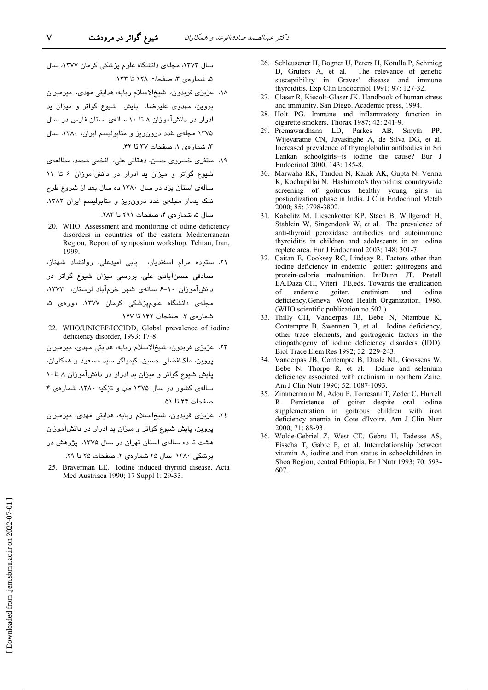سال ۱۳۷۳، مجلهی دانشگاه علوم پزشکی کرمان ۱۳۷۷، سال ۵، شمار دی ۳، صفحات ۱۲۸ تا ۱۳۳.

- ١٨. عزیزی فریدون، شیخالاسلام ربابه، هدایتی مهدی، میرمیران پروین، مهدوی علیرضا. پایش شیوع گواتر و میزان ید ادرار در دانشآموزان ۸ تا ۱۰ سالهی استان فارس در سال ۱۳۷۵ مجلهی غدد درون ریز و متابولیسم ایران، ۱۳۸۰. سال ۳، شمارهی ۱، صفحات ۳۷ تا ۴۲.
- ١٩. مظفری خسروی حسن، دهقاتی علی، افخمی محمد. مطالعهی شیوع گواتر و میزان ید ادرار در دانشآموزان ۶ تا ۱۱ سالهی استان یزد در سال ۱۳۸۰ ده سال بعد از شروع طرح نمک یددار مجلهی غدد درون ریز و متابولیسم ایران ١٣٨٢. سال ۵، شمارهی ۴، صفحات ۲۹۱ تا ۲۸۳.
- 20. WHO. Assessment and monitoring of odine deficiency disorders in countries of the eastern Mediterranean Region, Report of symposium workshop. Tehran, Iran, 1999
- ۲۱. سنوده مرام اسفندیار، پاپی امیدعلی، روانشاد شهناز، صادقی حسنآبادی علی. بررسی میزان شیوع گواتر در دانشآموزان ١٠-۶ سالهى شهر خرمآباد لرستان، ١٣٧٣، مجلهی دانشگاه علومپزشکی کرمان ۱۳۷۷. دوره*ی* ۵، شمارهى ٣. صفحات ١۴٢ تا ١۴٧.
- 22. WHO/UNICEF/ICCIDD, Global prevalence of iodine deficiency disorder, 1993: 17-8.
- ٢٣. عزیزی فریدون، شیخالاسلام ریابه، هدایتی مهدی، میرمیران پروین، ملکافضلی حسین، کیمیاگر سید مسعود و همکاران، پایش شیوع گواتر و میزان ید ادرار در دانشآموزان ۸ تا۱۰ سالهی کشور در سال ۱۳۷۵ طب و تزکیه ۱۳۸۰. شمارهی ۴ صفحات ۴۴ تا ۵۱.
- ٢٤. عزیزی فریدون، شیخالسلام ربابه، هدایتی مهدی، میرمیران پروین، پایش شیوع گواتر و میزان بد ادرار در دانشآموزان هشت تا ده سالهی استان تهران در سال ۱۳۷۵. پژوهش در

یزشکی ۱۳۸۰ سال ۲۵ شمارهی ۲. صفحات ۲۵ تا ۲۹.

25. Braverman LE. Iodine induced thyroid disease. Acta Med Austriaca 1990; 17 Suppl 1: 29-33.

- 26. Schleusener H, Bogner U, Peters H, Kotulla P, Schmieg The relevance of genetic D, Gruters A, et al. susceptibility in Graves' disease and immune thyroiditis. Exp Clin Endocrinol 1991; 97: 127-32.
- 27. Glaser R, Kiecolt-Glaser JK. Handbook of human stress and immunity. San Diego. Academic press, 1994.
- 28. Holt PG. Immune and inflammatory function in cigarette smokers. Thorax 1987: 42: 241-9.
- 29. Premawardhana LD, Parkes AB, Smyth PP, Wijeyaratne CN, Jayasinghe A, de Silva DG, et al. Increased prevalence of thyroglobulin antibodies in Sri Lankan schoolgirls--is iodine the cause? Eur J Endocrinol 2000; 143: 185-8.
- 30. Marwaha RK, Tandon N, Karak AK, Gupta N, Verma K, Kochupillai N. Hashimoto's thyroiditis: countrywide screening of goitrous healthy young girls in postiodization phase in India. J Clin Endocrinol Metab 2000; 85: 3798-3802.
- 31. Kabelitz M, Liesenkotter KP, Stach B, Willgerodt H, Stablein W, Singendonk W, et al. The prevalence of anti-thyroid peroxidase antibodies and autoimmune thyroiditis in children and adolescents in an iodine replete area. Eur J Endocrinol 2003; 148: 301-7.
- 32. Gaitan E, Cooksey RC, Lindsay R. Factors other than iodine deficiency in endemic goiter: goitrogens and<br>protein-calorie malnutrition. In:Dunn JT. Pretell EA.Daza CH, Viteri FE,eds. Towards the eradication goiter.  $\delta$ endemic cretinism and iodine deficiency.Geneva: Word Health Organization. 1986. (WHO scientific publication no.502.)
- 33. Thilly CH, Vanderpas JB, Bebe N, Ntambue K, Contempre B, Swennen B, et al. Iodine deficiency, other trace elements, and goitrogenic factors in the etiopathogeny of iodine deficiency disorders (IDD). Biol Trace Elem Res 1992; 32: 229-243.
- 34. Vanderpas JB, Contempre B, Duale NL, Goossens W, Bebe N, Thorpe R, et al. Iodine and selenium deficiency associated with cretinism in northern Zaire. Am J Clin Nutr 1990; 52: 1087-1093.
- 35. Zimmermann M, Adou P, Torresani T, Zeder C, Hurrell R. Persistence of goiter despite oral iodine supplementation in goitrous children with iron deficiency anemia in Cote d'Ivoire. Am J Clin Nutr 2000; 71: 88-93.
- 36. Wolde-Gebriel Z, West CE, Gebru H, Tadesse AS, Fisseha T, Gabre P, et al. Interrelationship between vitamin A, iodine and iron status in schoolchildren in Shoa Region, central Ethiopia. Br J Nutr 1993; 70: 593-607.